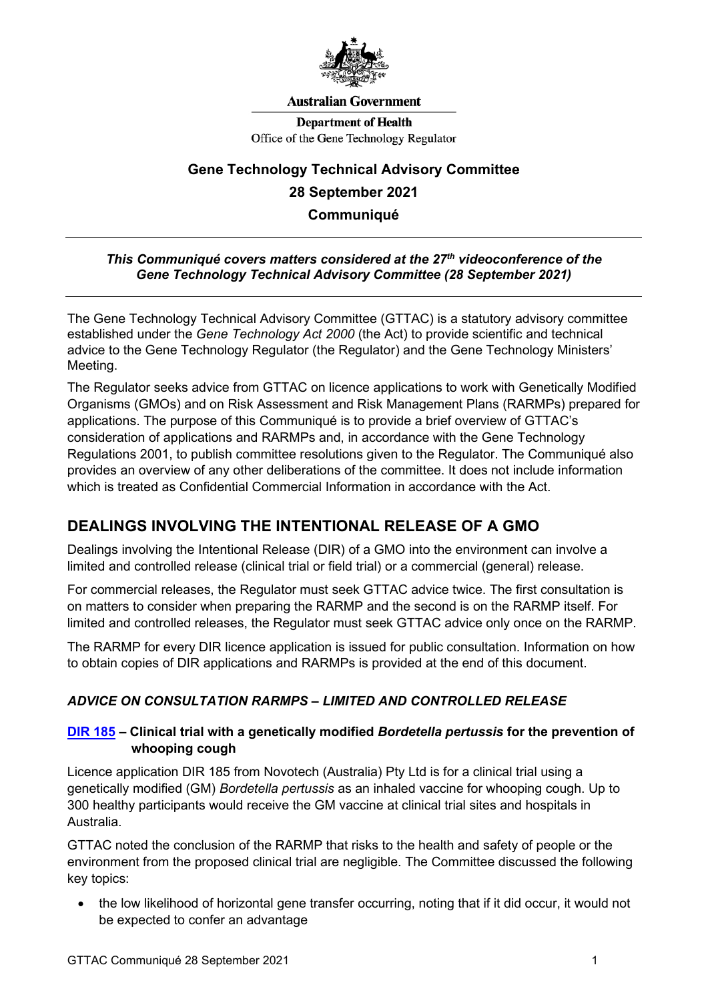

#### **Australian Government**

**Department of Health** Office of the Gene Technology Regulator

# **Gene Technology Technical Advisory Committee 28 September 2021 Communiqué**

#### *This Communiqué covers matters considered at the 27th videoconference of the Gene Technology Technical Advisory Committee (28 September 2021)*

The Gene Technology Technical Advisory Committee (GTTAC) is a statutory advisory committee established under the *Gene Technology Act 2000* (the Act) to provide scientific and technical advice to the Gene Technology Regulator (the Regulator) and the Gene Technology Ministers' Meeting.

The Regulator seeks advice from GTTAC on licence applications to work with Genetically Modified Organisms (GMOs) and on Risk Assessment and Risk Management Plans (RARMPs) prepared for applications. The purpose of this Communiqué is to provide a brief overview of GTTAC's consideration of applications and RARMPs and, in accordance with the Gene Technology Regulations 2001, to publish committee resolutions given to the Regulator. The Communiqué also provides an overview of any other deliberations of the committee. It does not include information which is treated as Confidential Commercial Information in accordance with the Act.

## **DEALINGS INVOLVING THE INTENTIONAL RELEASE OF A GMO**

Dealings involving the Intentional Release (DIR) of a GMO into the environment can involve a limited and controlled release (clinical trial or field trial) or a commercial (general) release.

For commercial releases, the Regulator must seek GTTAC advice twice. The first consultation is on matters to consider when preparing the RARMP and the second is on the RARMP itself. For limited and controlled releases, the Regulator must seek GTTAC advice only once on the RARMP.

The RARMP for every DIR licence application is issued for public consultation. Information on how to obtain copies of DIR applications and RARMPs is provided at the end of this document.

### *ADVICE ON CONSULTATION RARMPS – LIMITED AND CONTROLLED RELEASE*

#### **[DIR 185](https://www.ogtr.gov.au/gmo-dealings/dealings-involving-intentional-release/dir-185) – Clinical trial with a genetically modified** *Bordetella pertussis* **for the prevention of whooping cough**

Licence application DIR 185 from Novotech (Australia) Pty Ltd is for a clinical trial using a genetically modified (GM) *Bordetella pertussis* as an inhaled vaccine for whooping cough. Up to 300 healthy participants would receive the GM vaccine at clinical trial sites and hospitals in Australia.

GTTAC noted the conclusion of the RARMP that risks to the health and safety of people or the environment from the proposed clinical trial are negligible. The Committee discussed the following key topics:

• the low likelihood of horizontal gene transfer occurring, noting that if it did occur, it would not be expected to confer an advantage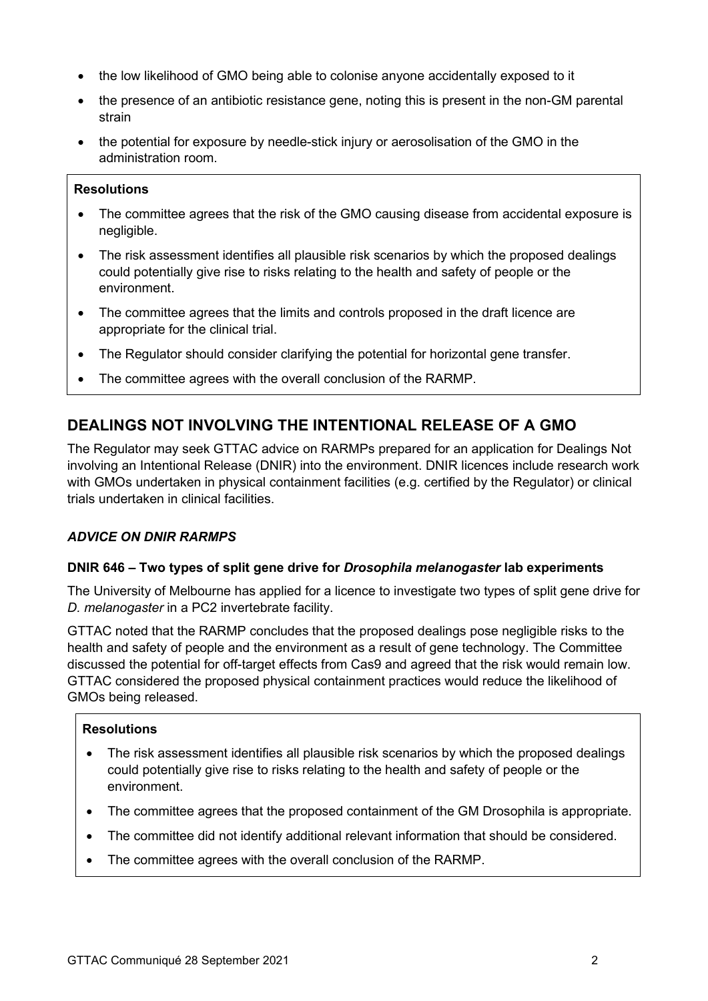- the low likelihood of GMO being able to colonise anyone accidentally exposed to it
- the presence of an antibiotic resistance gene, noting this is present in the non-GM parental strain
- the potential for exposure by needle-stick injury or aerosolisation of the GMO in the administration room.

#### **Resolutions**

- The committee agrees that the risk of the GMO causing disease from accidental exposure is negligible.
- The risk assessment identifies all plausible risk scenarios by which the proposed dealings could potentially give rise to risks relating to the health and safety of people or the environment.
- The committee agrees that the limits and controls proposed in the draft licence are appropriate for the clinical trial.
- The Regulator should consider clarifying the potential for horizontal gene transfer.
- The committee agrees with the overall conclusion of the RARMP.

## **DEALINGS NOT INVOLVING THE INTENTIONAL RELEASE OF A GMO**

The Regulator may seek GTTAC advice on RARMPs prepared for an application for Dealings Not involving an Intentional Release (DNIR) into the environment. DNIR licences include research work with GMOs undertaken in physical containment facilities (e.g. certified by the Regulator) or clinical trials undertaken in clinical facilities.

#### *ADVICE ON DNIR RARMPS*

#### **DNIR 646 – Two types of split gene drive for** *Drosophila melanogaster* **lab experiments**

The University of Melbourne has applied for a licence to investigate two types of split gene drive for *D. melanogaster* in a PC2 invertebrate facility.

GTTAC noted that the RARMP concludes that the proposed dealings pose negligible risks to the health and safety of people and the environment as a result of gene technology. The Committee discussed the potential for off-target effects from Cas9 and agreed that the risk would remain low. GTTAC considered the proposed physical containment practices would reduce the likelihood of GMOs being released.

#### **Resolutions**

- The risk assessment identifies all plausible risk scenarios by which the proposed dealings could potentially give rise to risks relating to the health and safety of people or the environment.
- The committee agrees that the proposed containment of the GM Drosophila is appropriate.
- The committee did not identify additional relevant information that should be considered.
- The committee agrees with the overall conclusion of the RARMP.